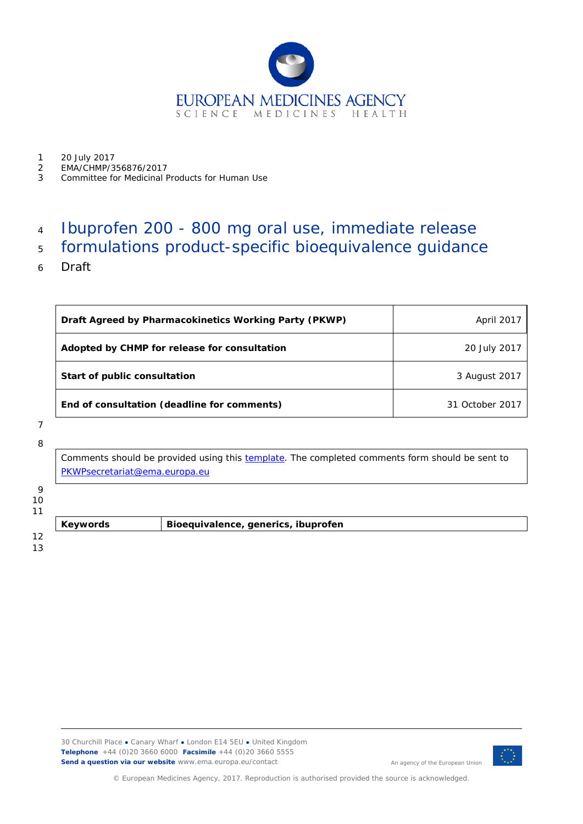

1 20 July 2017<br>2 EMA/CHMP/3

- 2 EMA/CHMP/356876/2017
- 3 Committee for Medicinal Products for Human Use

## 4 Ibuprofen 200 - 800 mg oral use, immediate release

# 5 formulations product-specific bioequivalence guidance

6 Draft

| Draft Agreed by Pharmacokinetics Working Party (PKWP) | April 2017      |
|-------------------------------------------------------|-----------------|
| Adopted by CHMP for release for consultation          | 20 July 2017    |
| Start of public consultation                          | 3 August 2017   |
| End of consultation (deadline for comments)           | 31 October 2017 |

### 7

8

Comments should be provided using this [template.](http://www.ema.europa.eu/docs/en_GB/document_library/Template_or_form/2009/10/WC500004016.doc) The completed comments form should be sent to [PKWPsecretariat@ema.europa.eu](mailto:PKWPsecretariat@ema.europa.eu)

## $\overline{Q}$

10

11

13

12

**Keywords** *Bioequivalence, generics, ibuprofen*



An agency of the European Union

© European Medicines Agency, 2017. Reproduction is authorised provided the source is acknowledged.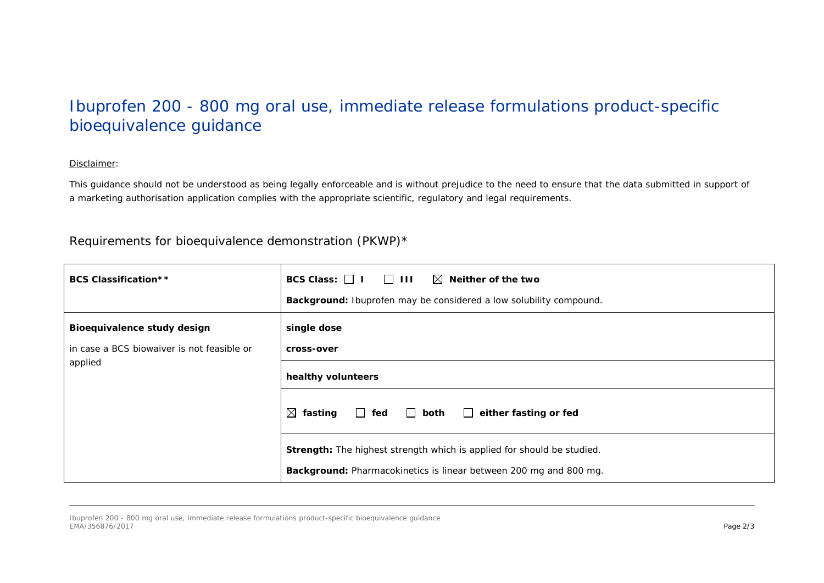# Ibuprofen 200 - 800 mg oral use, immediate release formulations product-specific bioequivalence guidance

#### *Disclaimer:*

This guidance should not be understood as being legally enforceable and is without prejudice to the need to ensure that the data submitted in support of *a marketing authorisation application complies with the appropriate scientific, regulatory and legal requirements.*

### Requirements for bioequivalence demonstration (PKWP)\*

| <b>BCS Classification**</b>                                                          | BCS Class: $\Box$ I $\Box$ III $\Box$ Neither of the two<br>Background: Ibuprofen may be considered a low solubility compound.                     |
|--------------------------------------------------------------------------------------|----------------------------------------------------------------------------------------------------------------------------------------------------|
| Bioequivalence study design<br>in case a BCS biowaiver is not feasible or<br>applied | single dose<br>cross-over                                                                                                                          |
|                                                                                      | healthy volunteers                                                                                                                                 |
|                                                                                      | $\boxtimes$ fasting $\Box$ fed $\Box$ both<br>$\Box$ either fasting or fed                                                                         |
|                                                                                      | <b>Strength:</b> The highest strength which is applied for should be studied.<br>Background: Pharmacokinetics is linear between 200 mg and 800 mg. |